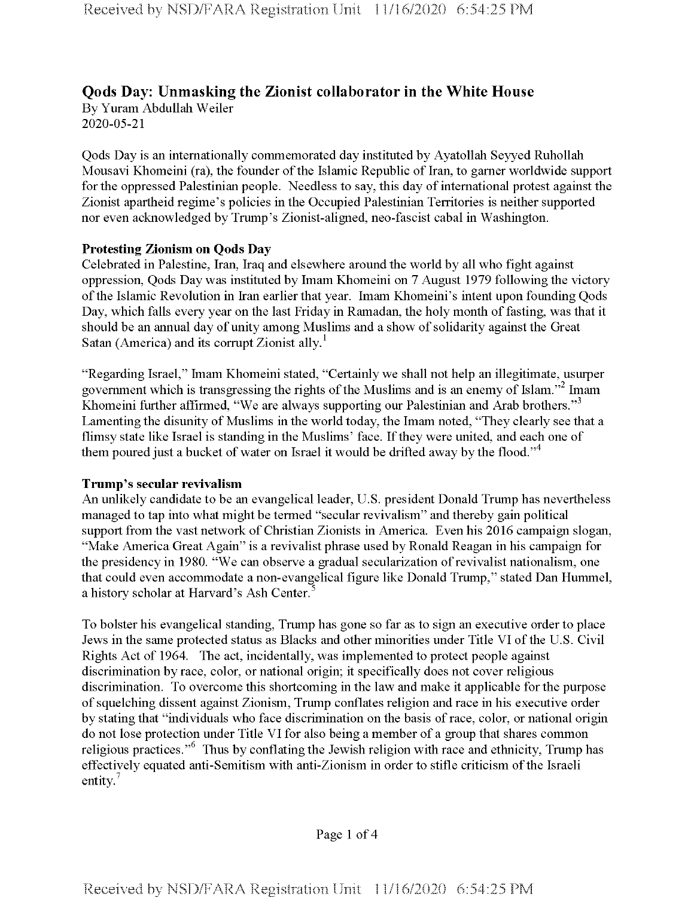# **Qods Day: Unmasking the Zionist collaborator in the White House** By Yuram Abdullah Weiler

2020-05-21

Qods Day is an internationally commemorated day instituted by Ayatollah Seyyed Ruhollah Mousavi Khomeini (ra), the founder of the Islamic Republic of Iran, to garner worldwide support for the oppressed Palestinian people. Needless to say, this day of international protest against the Zionist apartheid regime's policies in the Occupied Palestinian Territories is neither supported nor even acknowledged by Trump's Zionist-aligned, neo-fascist cabal in Washington.

# **Protesting Zionism on Qods Day**

Celebrated in Palestine, Iran, Iraq and elsewhere around the world by all who fight against oppression, Qods Day was instituted by Imam Khomeini on 7 August 1979 following the victory ofthe Islamic Revolution in Iran earlier that year. Imam Khomeini's intent upon founding Qods Day, which falls every year on the last Friday in Ramadan, the holy month of fasting, was that it should be an annual day of unity among Muslims and a show of solidarity against the Great Satan (America) and its corrupt Zionist ally.<sup>1</sup>

"Regarding Israel," Imam Khomeini stated, "Certainly we shall not help an illegitimate, usurper government which is transgressing the rights of the Muslims and is an enemy of Islam."<sup>2</sup> Imam Khomeini further affirmed, "We are always supporting our Palestinian and Arab brothers."<sup>3</sup> Lamenting the disunity of Muslims in the world today, the Imam noted, "They clearly see that a flimsy state like Israel is standing in the Muslims' face. If they were united, and each one of them poured just a bucket of water on Israel it would be drifted away by the flood."<sup>4</sup>

## **Trump's secular revivalism**

An unlikely candidate to be an evangelical leader, U.S. president Donald Trump has nevertheless managed to tap into what might be termed "secular revivalism" and thereby gain political support from the vast network of Christian Zionists in America. Even his 2016 campaign slogan, "Make America Great Again" is a revivalist phrase used by Ronald Reagan in his campaign for the presidency in 1980. "We can observe a gradual secularization of revivalist nationalism, one that could even accommodate a non-evangelical figure like Donald Trump," stated Dan Hummel, a history scholar at Harvard's Ash Center.<sup>5</sup>

To bolster his evangelical standing, Trump has gone so far as to sign an executive order to place Jews in the same protected status as Blacks and other minorities under Title VI ofthe U.S. Civil Rights Act of 1964. The act, incidentally, was implemented to protect people against discrimination by race, color, or national origin; it specifically does not cover religious discrimination. To overcome this shortcoming in the law and make it applicable for the purpose of squelching dissent against Zionism, Trump conflates religion and race in his executive order by stating that "individuals who face discrimination on the basis of race, color, or national origin do not lose protection under Title VI for also being a member of a group that shares common religious practices."6 Thus by conflating the Jewish religion with race and ethnicity, Trump has effectively equated anti-Semitism with anti-Zionism in order to stifle criticism of the Israeli entity. $7$ 

Page <sup>1</sup> of 4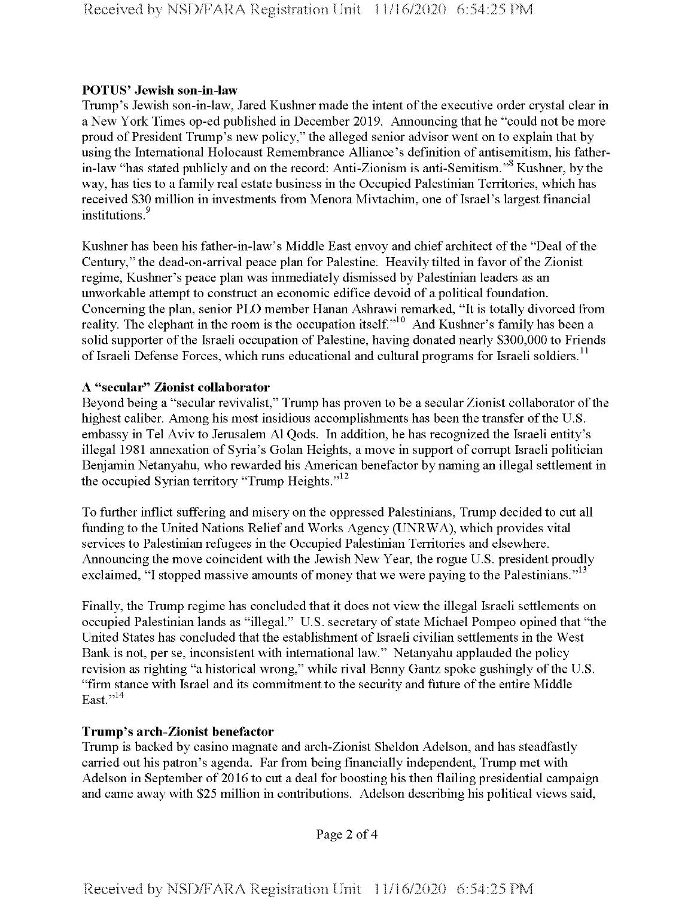## **POTUS' Jewish son-in-law**

Trump's Jewish son-in-law, Jared Kushner made the intent of the executive order crystal clear in a New York Times op-ed published in December 2019. Announcing that he "could not be more proud of President Trump's new policy," the alleged senior advisor went on to explain that by using the International Holocaust Remembrance Alliance's definition of antisemitism, his fatherin-law "has stated publicly and on the record: Anti-Zionism is anti-Semitism."<sup>8</sup> Kushner, by the way, has ties to a family real estate business in the Occupied Palestinian Territories, which has received \$30 million in investments from Menora Mivtachim, one of Israel's largest financial institutions.<sup>9</sup>

Kushner has been his father-in-law's Middle East envoy and chief architect of the "Deal of the Century," the dead-on-arrival peace plan for Palestine. Heavily tilted in favor of the Zionist regime, Kushner's peace plan was immediately dismissed by Palestinian leaders as an unworkable attempt to construct an economic edifice devoid of a political foundation. Concerning the plan, senior PLO member Hanan Ashrawi remarked, "It is totally divorced from reality. The elephant in the room is the occupation itself.<sup>10</sup> And Kushner's family has been a solid supporter of the Israeli occupation of Palestine, having donated nearly \$300,000 to Friends of Israeli Defense Forces, which runs educational and cultural programs for Israeli soldiers.<sup>11</sup>

# **A "secular" Zionist collaborator**

Beyond being a "secular revivalist," Trump has proven to be a secular Zionist collaborator of the highest caliber. Among his most insidious accomplishments has been the transfer of the U.S. embassy in Tel Aviv to Jerusalem A1 Qods. In addition, he has recognized the Israeli entity's illegal 1981 annexation of Syria's Golan Heights, a move in support of corrupt Israeli politician Benjamin Netanyahu, who rewarded his American benefactor by naming an illegal settlement in the occupied Syrian territory "Trump Heights. $v^{12}$ 

To further inflict suffering and misery on the oppressed Palestinians, Trump decided to cut all funding to the United Nations Relief and Works Agency (UNRWA), which provides vital services to Palestinian refugees in the Occupied Palestinian Territories and elsewhere. Announcing the move coincident with the Jewish New Year, the rogue U.S. president proudly exclaimed, "I stopped massive amounts of money that we were paying to the Palestinians."<sup>13</sup>

Finally, the Trump regime has concluded that it does not view the illegal Israeli settlements on occupied Palestinian lands as "illegal." U.S. secretary of state Michael Pompeo opined that "the United States has concluded that the establishment of Israeli civilian settlements in the West Bank is not, per se, inconsistent with international law." Netanyahu applauded the policy revision as righting "a historical wrong," while rival Benny Gantz spoke gushingly of the U.S. "firm stance with Israel and its commitment to the security and future ofthe entire Middle East. $1,14$ 

# **Trump's arch-Zionist benefactor**

Trump is backed by casino magnate and arch-Zionist Sheldon Adelson, and has steadfastly carried out his patron's agenda. Far from being financially independent, Trump met with Adelson in September of 2016 to cut a deal for boosting his then flailing presidential campaign and came away with \$25 million in contributions. Adelson describing his political views said,

Page 2 of 4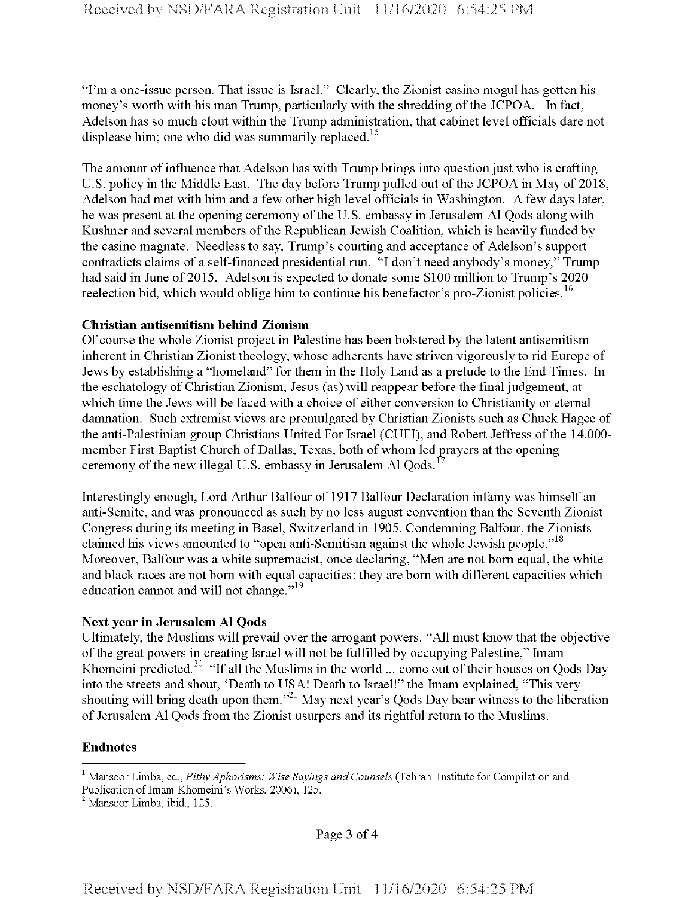"I'm a one-issue person. That issue is Israel." Clearly, the Zionist casino mogul has gotten his money's worth with his man Trump, particularly with the shredding of the JCPOA. In fact, Adelson has so much clout within the Trump administration, that cabinet level officials dare not displease him; one who did was summarily replaced.<sup>15</sup>

The amount of influence that Adelson has with Trump brings into question just who is crafting U.S. policy in the Middle East. The day before Trump pulled out of the JCPOA in May of 2018, Adelson had met with him and a few other high level officials in Washington. A few days later, he was present at the opening ceremony of the U.S. embassy in Jerusalem Al Qods along with Kushner and several members of the Republican Jewish Coalition, which is heavily funded by the casino magnate. Needless to say, Trump's courting and acceptance of Adelson's support contradicts claims of a self-financed presidential run. "I don't need anybody's money," Trump had said in June of 2015. Adelson is expected to donate some \$100 million to Trump's 2020 reelection bid, which would oblige him to continue his benefactor's pro-Zionist policies.<sup>16</sup>

#### **Christian antisemitism behind Zionism**

Of course the whole Zionist project in Palestine has been bolstered by the latent antisemitism inherent in Christian Zionist theology, whose adherents have striven vigorously to rid Europe of Jews by establishing a "homeland" for them in the Holy Land as a prelude to the End Times. In the eschatology of Christian Zionism, Jesus (as) will reappear before the final judgement, at which time the Jews will be faced with a choice of either conversion to Christianity or eternal damnation. Such extremist views are promulgated by Christian Zionists such as Chuck Hagee of the anti-Palestinian group Christians United For Israel (CUFI), and Robert Jeffress of the 14,000member First Baptist Church of Dallas, Texas, both of whom led prayers at the opening ceremony of the new illegal U.S. embassy in Jerusalem Al  $Qods$ <sup>1</sup>

Interestingly enough, Lord Arthur Balfour of 1917 Balfour Declaration infamy was himself an anti-Semite, and was pronounced as such by no less august convention than the Seventh Zionist Congress during its meeting in Basel, Switzerland in 1905. Condemning Balfour, the Zionists claimed his views amounted to "open anti-Semitism against the whole Jewish people."<sup>18</sup> Moreover, Balfour was a white supremacist, once declaring, "Men are not bom equal, the white and black races are not bom with equal capacities: they are bom with different capacities which education cannot and will not change."<sup>19</sup>

## **Next year in Jerusalem A1 Qods**

Ultimately, the Muslims will prevail over the arrogant powers. "All must know that the objective ofthe great powers in creating Israel will not be fulfilled by occupying Palestine," Imam Khomeini predicted.<sup>20</sup> "If all the Muslims in the world ... come out of their houses on Qods Day into the streets and shout, 'Death to USA! Death to Israel!" the Imam explained, "This very shouting will bring death upon them.<sup>321</sup> May next year's Qods Day bear witness to the liberation of Jerusalem Al Qods from the Zionist usurpers and its rightful return to the Muslims.

## **Endnotes**

<sup>1</sup> Mansoor Limba, ed., *PithyAphorisms: Wise Sayings and Counsels* (Tehran: Institute for Compilation and Publication of Imam Khomeini's Works, 2006), 125.

 $<sup>2</sup>$  Mansoor Limba, ibid., 125.</sup>